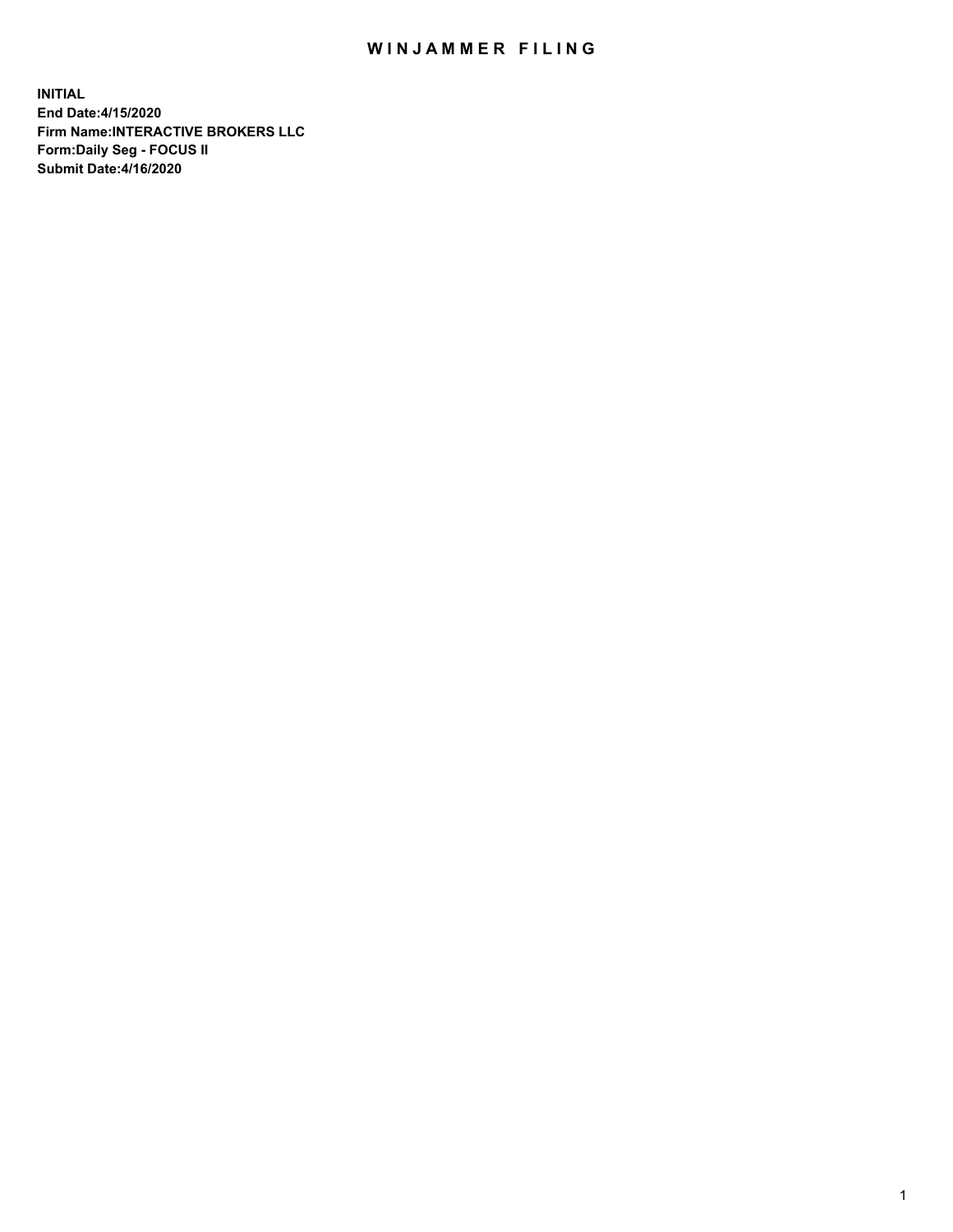## WIN JAMMER FILING

**INITIAL End Date:4/15/2020 Firm Name:INTERACTIVE BROKERS LLC Form:Daily Seg - FOCUS II Submit Date:4/16/2020**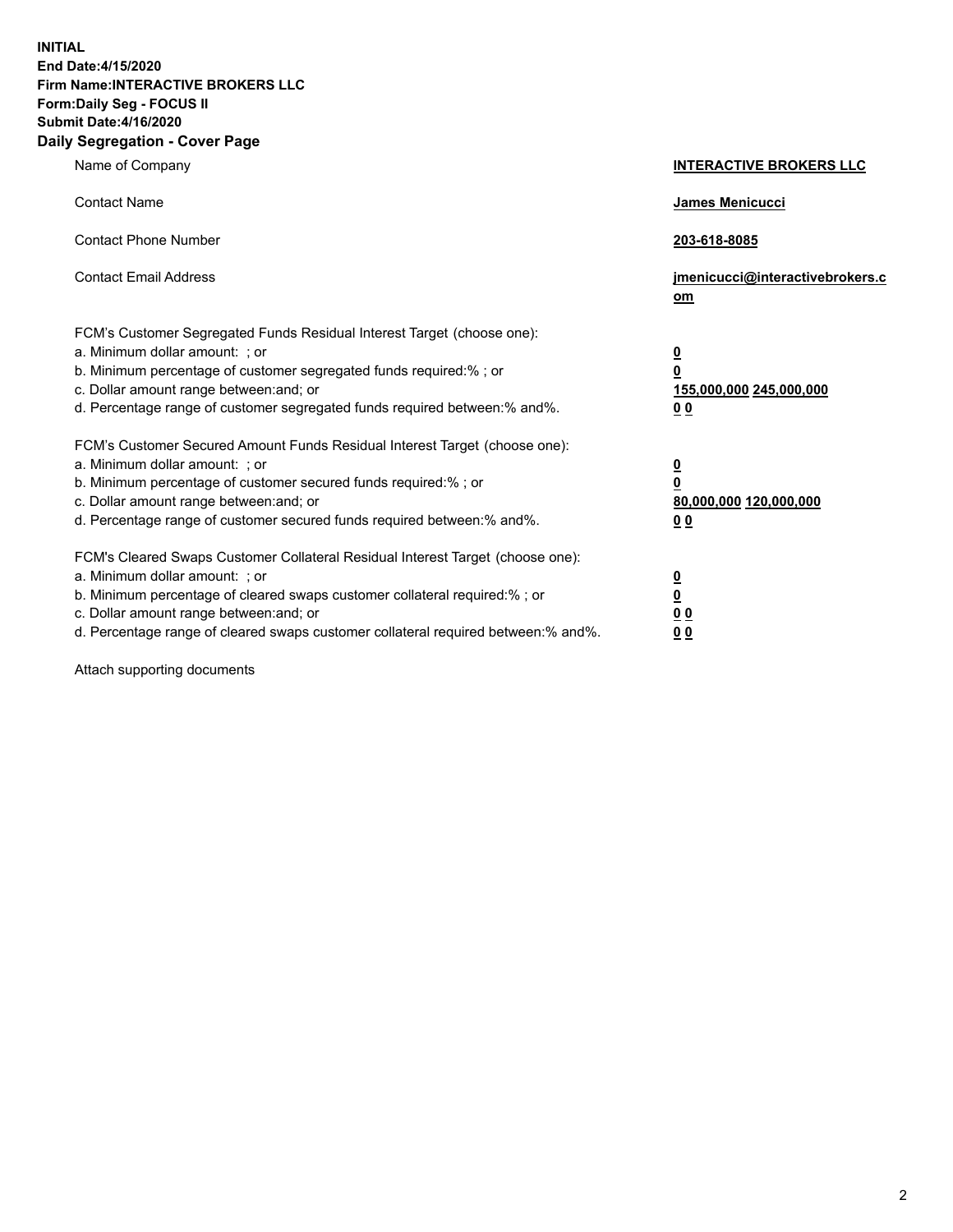**INITIAL End Date:4/15/2020 Firm Name:INTERACTIVE BROKERS LLC Form:Daily Seg - FOCUS II Submit Date:4/16/2020 Daily Segregation - Cover Page**

| Name of Company                                                                                                                                                                                                                                                                                                               | <b>INTERACTIVE BROKERS LLC</b>                                                   |  |
|-------------------------------------------------------------------------------------------------------------------------------------------------------------------------------------------------------------------------------------------------------------------------------------------------------------------------------|----------------------------------------------------------------------------------|--|
| <b>Contact Name</b>                                                                                                                                                                                                                                                                                                           | James Menicucci                                                                  |  |
| <b>Contact Phone Number</b>                                                                                                                                                                                                                                                                                                   | 203-618-8085                                                                     |  |
| <b>Contact Email Address</b>                                                                                                                                                                                                                                                                                                  | jmenicucci@interactivebrokers.c<br>om                                            |  |
| FCM's Customer Segregated Funds Residual Interest Target (choose one):<br>a. Minimum dollar amount: ; or<br>b. Minimum percentage of customer segregated funds required:% ; or<br>c. Dollar amount range between: and; or<br>d. Percentage range of customer segregated funds required between:% and%.                        | <u>0</u><br>$\overline{\mathbf{0}}$<br>155,000,000 245,000,000<br>0 <sub>0</sub> |  |
| FCM's Customer Secured Amount Funds Residual Interest Target (choose one):<br>a. Minimum dollar amount: ; or<br>b. Minimum percentage of customer secured funds required:%; or<br>c. Dollar amount range between: and; or<br>d. Percentage range of customer secured funds required between:% and%.                           | <u>0</u><br>$\overline{\mathbf{0}}$<br>80,000,000 120,000,000<br>0 <sub>0</sub>  |  |
| FCM's Cleared Swaps Customer Collateral Residual Interest Target (choose one):<br>a. Minimum dollar amount: ; or<br>b. Minimum percentage of cleared swaps customer collateral required:%; or<br>c. Dollar amount range between: and; or<br>d. Percentage range of cleared swaps customer collateral required between:% and%. | <u>0</u><br>$\underline{\mathbf{0}}$<br>0 <sub>0</sub><br>0 <sub>0</sub>         |  |

Attach supporting documents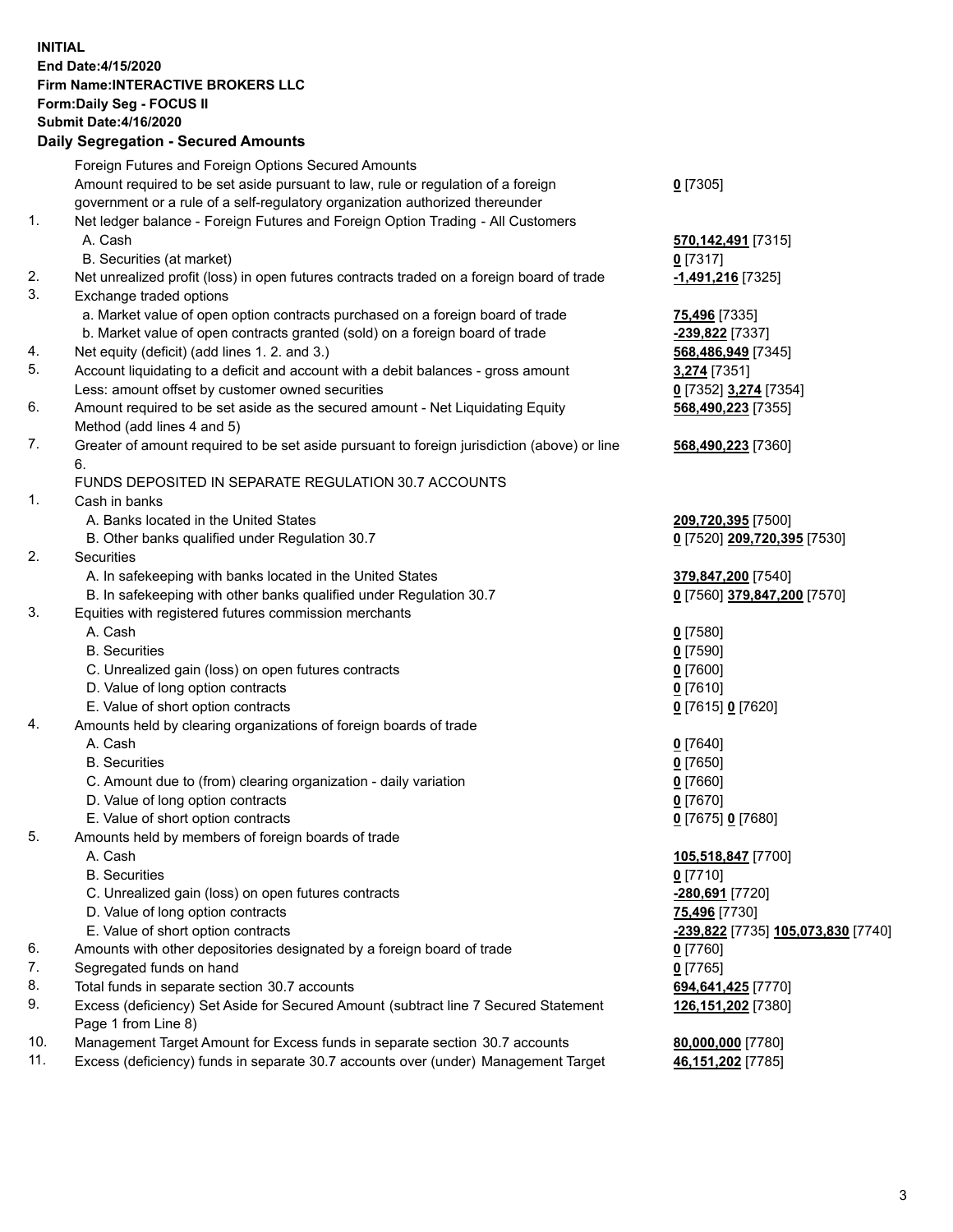**INITIAL End Date:4/15/2020 Firm Name:INTERACTIVE BROKERS LLC Form:Daily Seg - FOCUS II Submit Date:4/16/2020 Daily Segregation - Secured Amounts**

## Foreign Futures and Foreign Options Secured Amounts Amount required to be set aside pursuant to law, rule or regulation of a foreign government or a rule of a self-regulatory organization authorized thereunder **0** [7305] 1. Net ledger balance - Foreign Futures and Foreign Option Trading - All Customers A. Cash **570,142,491** [7315] B. Securities (at market) **0** [7317] 2. Net unrealized profit (loss) in open futures contracts traded on a foreign board of trade **-1,491,216** [7325] 3. Exchange traded options a. Market value of open option contracts purchased on a foreign board of trade **75,496** [7335] b. Market value of open contracts granted (sold) on a foreign board of trade **-239,822** [7337] 4. Net equity (deficit) (add lines 1. 2. and 3.) **568,486,949** [7345] 5. Account liquidating to a deficit and account with a debit balances - gross amount **3,274** [7351] Less: amount offset by customer owned securities **0** [7352] **3,274** [7354] 6. Amount required to be set aside as the secured amount - Net Liquidating Equity Method (add lines 4 and 5) **568,490,223** [7355] 7. Greater of amount required to be set aside pursuant to foreign jurisdiction (above) or line 6. **568,490,223** [7360] FUNDS DEPOSITED IN SEPARATE REGULATION 30.7 ACCOUNTS 1. Cash in banks A. Banks located in the United States **209,720,395** [7500] B. Other banks qualified under Regulation 30.7 **0** [7520] **209,720,395** [7530] 2. Securities A. In safekeeping with banks located in the United States **379,847,200** [7540] B. In safekeeping with other banks qualified under Regulation 30.7 **0** [7560] **379,847,200** [7570] 3. Equities with registered futures commission merchants A. Cash **0** [7580] B. Securities **0** [7590] C. Unrealized gain (loss) on open futures contracts **0** [7600] D. Value of long option contracts **0** [7610] E. Value of short option contracts **0** [7615] **0** [7620] 4. Amounts held by clearing organizations of foreign boards of trade A. Cash **0** [7640] B. Securities **0** [7650] C. Amount due to (from) clearing organization - daily variation **0** [7660] D. Value of long option contracts **0** [7670] E. Value of short option contracts **0** [7675] **0** [7680] 5. Amounts held by members of foreign boards of trade A. Cash **105,518,847** [7700] B. Securities **0** [7710] C. Unrealized gain (loss) on open futures contracts **-280,691** [7720] D. Value of long option contracts **75,496** [7730] E. Value of short option contracts **-239,822** [7735] **105,073,830** [7740] 6. Amounts with other depositories designated by a foreign board of trade **0** [7760] 7. Segregated funds on hand **0** [7765] 8. Total funds in separate section 30.7 accounts **694,641,425** [7770] 9. Excess (deficiency) Set Aside for Secured Amount (subtract line 7 Secured Statement Page 1 from Line 8) **126,151,202** [7380] 10. Management Target Amount for Excess funds in separate section 30.7 accounts **80,000,000** [7780] 11. Excess (deficiency) funds in separate 30.7 accounts over (under) Management Target **46,151,202** [7785]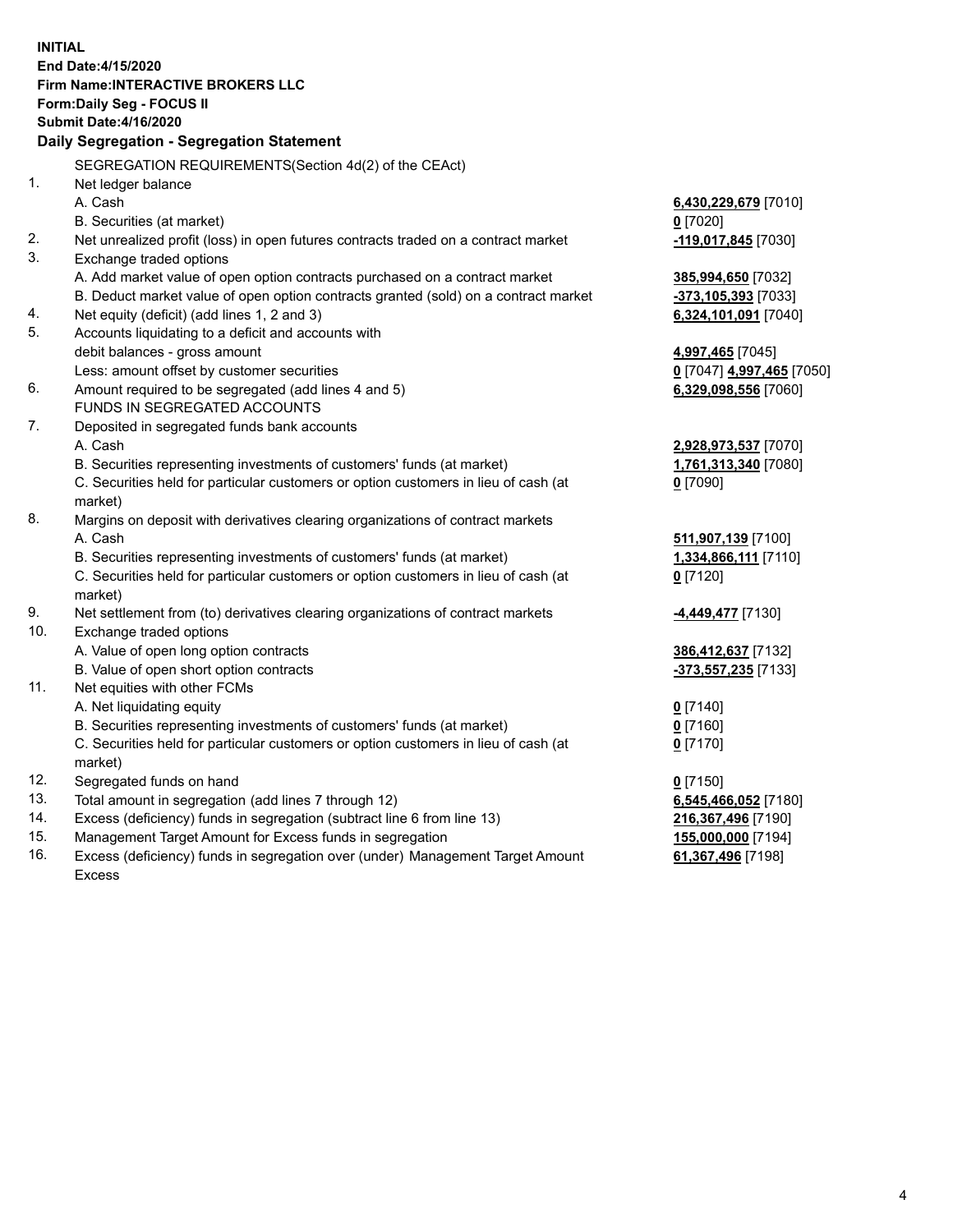**INITIAL End Date:4/15/2020 Firm Name:INTERACTIVE BROKERS LLC Form:Daily Seg - FOCUS II Submit Date:4/16/2020 Daily Segregation - Segregation Statement** SEGREGATION REQUIREMENTS(Section 4d(2) of the CEAct) 1. Net ledger balance A. Cash **6,430,229,679** [7010] B. Securities (at market) **0** [7020] 2. Net unrealized profit (loss) in open futures contracts traded on a contract market **-119,017,845** [7030] 3. Exchange traded options A. Add market value of open option contracts purchased on a contract market **385,994,650** [7032] B. Deduct market value of open option contracts granted (sold) on a contract market **-373,105,393** [7033] 4. Net equity (deficit) (add lines 1, 2 and 3) **6,324,101,091** [7040] 5. Accounts liquidating to a deficit and accounts with debit balances - gross amount **4,997,465** [7045] Less: amount offset by customer securities **0** [7047] **4,997,465** [7050] 6. Amount required to be segregated (add lines 4 and 5) **6,329,098,556** [7060] FUNDS IN SEGREGATED ACCOUNTS 7. Deposited in segregated funds bank accounts A. Cash **2,928,973,537** [7070] B. Securities representing investments of customers' funds (at market) **1,761,313,340** [7080] C. Securities held for particular customers or option customers in lieu of cash (at market) **0** [7090] 8. Margins on deposit with derivatives clearing organizations of contract markets A. Cash **511,907,139** [7100] B. Securities representing investments of customers' funds (at market) **1,334,866,111** [7110] C. Securities held for particular customers or option customers in lieu of cash (at market) **0** [7120] 9. Net settlement from (to) derivatives clearing organizations of contract markets **-4,449,477** [7130] 10. Exchange traded options A. Value of open long option contracts **386,412,637** [7132] B. Value of open short option contracts **-373,557,235** [7133] 11. Net equities with other FCMs A. Net liquidating equity **0** [7140] B. Securities representing investments of customers' funds (at market) **0** [7160] C. Securities held for particular customers or option customers in lieu of cash (at market) **0** [7170] 12. Segregated funds on hand **0** [7150] 13. Total amount in segregation (add lines 7 through 12) **6,545,466,052** [7180] 14. Excess (deficiency) funds in segregation (subtract line 6 from line 13) **216,367,496** [7190] 15. Management Target Amount for Excess funds in segregation **155,000,000** [7194] 16. Excess (deficiency) funds in segregation over (under) Management Target Amount **61,367,496** [7198]

Excess